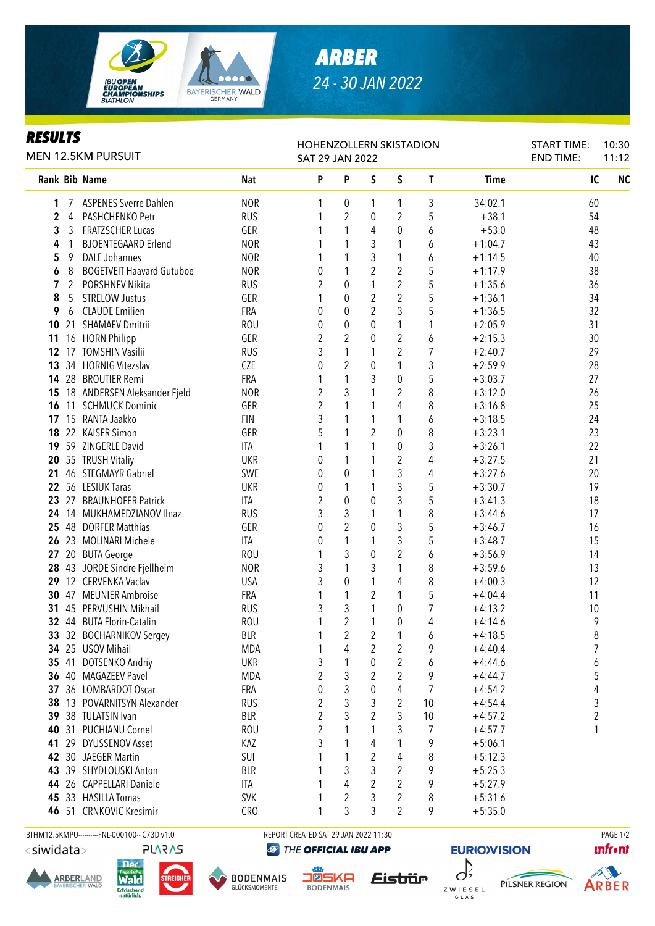

## *ARBER 24 - 30 JAN 2022*

## *RESULTS*

| <b>MEN 12.5KM PURSUIT</b> |                |                                  |            | HOHENZOLLERN SKISTADION<br>SAT 29 JAN 2022 |                  | <b>START TIME:</b><br><b>END TIME:</b> | 10:30<br>11:12   |                |             |    |           |
|---------------------------|----------------|----------------------------------|------------|--------------------------------------------|------------------|----------------------------------------|------------------|----------------|-------------|----|-----------|
|                           |                | Rank Bib Name                    | <b>Nat</b> | P                                          | P                | S                                      | S                | T              | <b>Time</b> | IC | <b>NC</b> |
| 1                         |                | <b>ASPENES Sverre Dahlen</b>     | <b>NOR</b> | 1                                          | 0                | 1                                      | 1                | 3              | 34:02.1     | 60 |           |
| 2                         | 4              | PASHCHENKO Petr                  | <b>RUS</b> |                                            | $\overline{2}$   | 0                                      | 2                | 5              | $+38.1$     | 54 |           |
| 3                         | 3              | FRATZSCHER Lucas                 | GER        |                                            | 1                | 4                                      | 0                | 6              | $+53.0$     | 48 |           |
| 4                         | 1              | <b>BJOENTEGAARD Erlend</b>       | <b>NOR</b> |                                            | 1                | 3                                      | 1                | 6              | $+1:04.7$   | 43 |           |
| 5                         | 9              | <b>DALE Johannes</b>             | <b>NOR</b> | 1                                          | 1                | 3                                      | 1                | 6              | $+1:14.5$   | 40 |           |
| 6                         | 8              | <b>BOGETVEIT Haavard Gutuboe</b> | <b>NOR</b> | 0                                          | 1                | $\overline{2}$                         | $\overline{2}$   | 5              | $+1:17.9$   | 38 |           |
| 7                         | $\overline{2}$ | PORSHNEV Nikita                  | <b>RUS</b> | 2                                          | 0                | 1                                      | $\overline{2}$   | 5              | $+1:35.6$   | 36 |           |
| 8                         | 5              | <b>STRELOW Justus</b>            | GER        |                                            | 0                | $\boldsymbol{2}$                       | $\overline{2}$   | 5              | $+1:36.1$   | 34 |           |
| 9                         | 6              | <b>CLAUDE Emilien</b>            | FRA        | 0                                          | $\boldsymbol{0}$ | $\overline{2}$                         | 3                | 5              | $+1:36.5$   | 32 |           |
| 10                        |                | 21 SHAMAEV Dmitrii               | <b>ROU</b> | 0                                          | $\boldsymbol{0}$ | 0                                      | 1                | 1              | $+2:05.9$   | 31 |           |
| 11                        |                | 16 HORN Philipp                  | GER        | $\overline{2}$                             | $\overline{2}$   | 0                                      | 2                | 6              | $+2:15.3$   | 30 |           |
| 12 <sup>°</sup>           |                | 17 TOMSHIN Vasilii               | <b>RUS</b> | 3                                          | 1                | 1                                      | 2                | 7              | $+2:40.7$   | 29 |           |
| 13                        |                | 34 HORNIG Vitezslav              | <b>CZE</b> | 0                                          | $\overline{2}$   | $\pmb{0}$                              | 1                | 3              | $+2:59.9$   | 28 |           |
|                           |                | 14 28 BROUTIER Remi              | FRA        |                                            | $\mathbf{1}$     | 3                                      | 0                | 5              | $+3:03.7$   | 27 |           |
| 15                        |                | 18 ANDERSEN Aleksander Fjeld     | <b>NOR</b> | 2                                          | $\mathfrak{Z}$   | 1                                      | $\overline{2}$   | 8              | $+3:12.0$   | 26 |           |
| 16                        | 11             | <b>SCHMUCK Dominic</b>           | GER        | 2                                          | 1                | 1                                      | 4                | 8              | $+3:16.8$   | 25 |           |
| 17                        |                | 15 RANTA Jaakko                  | <b>FIN</b> | 3                                          | 1                | 1                                      | 1                | 6              | $+3:18.5$   | 24 |           |
|                           |                | 18 22 KAISER Simon               | GER        | 5                                          | 1                | 2                                      | 0                | 8              | $+3:23.1$   | 23 |           |
|                           |                | 19 59 ZINGERLE David             | ITA        |                                            | 1                | 1                                      | 0                | 3              | $+3:26.1$   | 22 |           |
| 20                        |                | 55 TRUSH Vitaliy                 | UKR        | 0                                          | 1                | 1                                      | $\overline{2}$   | 4              | $+3:27.5$   | 21 |           |
| 21                        |                | 46 STEGMAYR Gabriel              | SWE        | 0                                          | 0                | 1                                      | 3                | 4              | $+3:27.6$   | 20 |           |
|                           |                | 22 56 LESIUK Taras               | <b>UKR</b> | 0                                          | 1                | 1                                      | 3                | 5              | $+3:30.7$   | 19 |           |
|                           |                | 23 27 BRAUNHOFER Patrick         | ITA        | 2                                          | 0                | 0                                      | 3                | 5              | $+3:41.3$   | 18 |           |
|                           |                | 24 14 MUKHAMEDZIANOV Ilnaz       | <b>RUS</b> | 3                                          | 3                | 1                                      | 1                | 8              | $+3:44.6$   | 17 |           |
|                           |                | 25 48 DORFER Matthias            | GER        | 0                                          | $\overline{2}$   | 0                                      | 3                | 5              | $+3:46.7$   | 16 |           |
|                           |                | 26 23 MOLINARI Michele           | <b>ITA</b> | 0                                          | 1                | 1                                      | 3                | 5              | $+3:48.7$   | 15 |           |
| 27                        |                | 20 BUTA George                   | <b>ROU</b> | 1                                          | 3                | $\mathbf{0}$                           | 2                | 6              | $+3:56.9$   | 14 |           |
|                           |                | 28 43 JORDE Sindre Fjellheim     | <b>NOR</b> | 3                                          | 1                | 3                                      | 1                | 8              | $+3:59.6$   | 13 |           |
|                           |                | 29 12 CERVENKA Vaclav            | <b>USA</b> | 3                                          | $\mathbf 0$      | 1                                      | 4                | 8              | $+4:00.3$   | 12 |           |
|                           |                | 30 47 MEUNIER Ambroise           | <b>FRA</b> |                                            | 1                | 2                                      | 1                | 5              | $+4:04.4$   | 11 |           |
|                           |                | 31 45 PERVUSHIN Mikhail          | <b>RUS</b> | 3                                          | 3                | $\mathbf{1}$                           | 0                | $\overline{7}$ | $+4:13.2$   | 10 |           |
|                           |                | 32 44 BUTA Florin-Catalin        | <b>ROU</b> |                                            | $\overline{2}$   | $\mathbf{1}$                           | $\boldsymbol{0}$ | 4              | $+4:14.6$   | 9  |           |
|                           |                | 33 32 BOCHARNIKOV Sergey         | <b>BLR</b> | 1                                          | $\overline{c}$   | $\overline{2}$                         | $\mathbf{1}$     | 6              | $+4:18.5$   | 8  |           |
|                           |                | 34 25 USOV Mihail                | <b>MDA</b> |                                            | 4                | 2                                      | 2                | 9              | $+4:40.4$   | 7  |           |
|                           |                | 35 41 DOTSENKO Andriy            | <b>UKR</b> | 3                                          | 1                | 0                                      | 2                | 6              | $+4:44.6$   | 6  |           |
|                           |                | 36 40 MAGAZEEV Pavel             | <b>MDA</b> | 2                                          | 3                | 2                                      | $\overline{2}$   | 9              | $+4:44.7$   | 5  |           |
|                           |                | 37 36 LOMBARDOT Oscar            | FRA        | 0                                          | 3                | 0                                      | 4                | 7              | $+4:54.2$   | 4  |           |
|                           |                | 38 13 POVARNITSYN Alexander      | <b>RUS</b> | 2                                          | 3                | 3                                      | $\overline{2}$   | 10             | $+4:54.4$   | 3  |           |
|                           |                | 39 38 TULATSIN Ivan              | <b>BLR</b> | 2                                          | 3                | 2                                      | 3                | 10             | $+4:57.2$   | 2  |           |
|                           |                | 40 31 PUCHIANU Cornel            | <b>ROU</b> | 2                                          | 1                | 1                                      | 3                | 7              | $+4:57.7$   | 1  |           |
| 41                        |                | 29 DYUSSENOV Asset               | KAZ        | 3                                          | 1                | 4                                      | 1                | 9              | $+5:06.1$   |    |           |
|                           |                | 42 30 JAEGER Martin              | SUI        |                                            | 1                | 2                                      | 4                | 8              | $+5:12.3$   |    |           |
|                           |                | 43 39 SHYDLOUSKI Anton           | <b>BLR</b> |                                            | 3                | 3                                      | 2                | 9              | $+5:25.3$   |    |           |
|                           |                | 44 26 CAPPELLARI Daniele         | ITA        |                                            | 4                | 2                                      | $\overline{2}$   | 9              | $+5:27.9$   |    |           |
|                           |                | 45 33 HASILLA Tomas              | <b>SVK</b> |                                            | 2                | 3                                      | 2                | 8              | $+5:31.6$   |    |           |
|                           |                | 46 51 CRNKOVIC Kresimir          | <b>CRO</b> |                                            | 3                | 3                                      | $\overline{2}$   | 9              | $+5:35.0$   |    |           |

<siwidata>

**ARBERLAND** 

**PLARAS** 

Wald

**Erfrischend** 

BTHM12.5KMPU---------FNL-000100-- C73D v1.0 REPORT CREATED SAT 29 JAN 2022 11:30 REPORT CREATED SAT 29 JAN 2022 11:30 THE OFFICIAL IBU APP